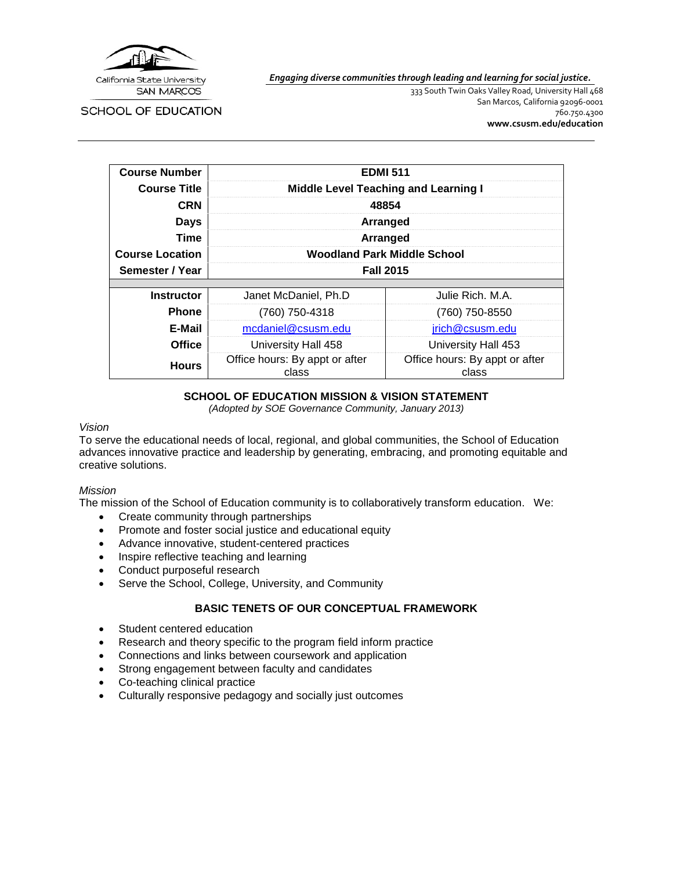

SCHOOL OF EDUCATION

*Engaging diverse communities through leading and learning for social justice.*

333 South Twin Oaks Valley Road, University Hall 468 San Marcos, California 92096-0001 760.750.4300 **[www.csusm.edu/education](http://www.csusm.edu/education)**

| <b>Course Number</b>   | <b>EDMI 511</b>                             |                                         |  |  |
|------------------------|---------------------------------------------|-----------------------------------------|--|--|
| <b>Course Title</b>    | <b>Middle Level Teaching and Learning I</b> |                                         |  |  |
| <b>CRN</b>             | 48854                                       |                                         |  |  |
| <b>Days</b>            | Arranged                                    |                                         |  |  |
| Time                   | Arranged                                    |                                         |  |  |
| <b>Course Location</b> | <b>Woodland Park Middle School</b>          |                                         |  |  |
| Semester / Year        | <b>Fall 2015</b>                            |                                         |  |  |
|                        |                                             |                                         |  |  |
| <b>Instructor</b>      | Janet McDaniel, Ph.D                        | Julie Rich, M.A.                        |  |  |
| <b>Phone</b>           | (760) 750-4318                              | (760) 750-8550                          |  |  |
| E-Mail                 | mcdaniel@csusm.edu                          | jrich@csusm.edu                         |  |  |
| <b>Office</b>          | University Hall 458                         | University Hall 453                     |  |  |
| <b>Hours</b>           | Office hours: By appt or after<br>class     | Office hours: By appt or after<br>class |  |  |

# **SCHOOL OF EDUCATION MISSION & VISION STATEMENT**

*(Adopted by SOE Governance Community, January 2013)*

#### *Vision*

To serve the educational needs of local, regional, and global communities, the School of Education advances innovative practice and leadership by generating, embracing, and promoting equitable and creative solutions.

#### *Mission*

The mission of the School of Education community is to collaboratively transform education. We:

- Create community through partnerships
- Promote and foster social justice and educational equity
- Advance innovative, student-centered practices
- Inspire reflective teaching and learning
- Conduct purposeful research
- Serve the School, College, University, and Community

## **BASIC TENETS OF OUR CONCEPTUAL FRAMEWORK**

- Student centered education
- Research and theory specific to the program field inform practice
- Connections and links between coursework and application
- Strong engagement between faculty and candidates
- Co-teaching clinical practice
- Culturally responsive pedagogy and socially just outcomes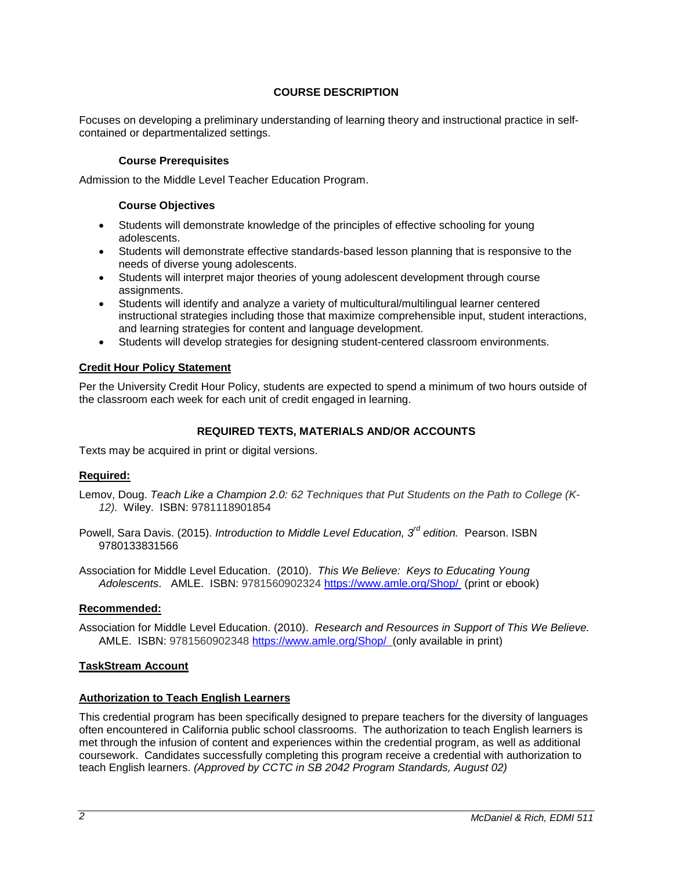# **COURSE DESCRIPTION**

Focuses on developing a preliminary understanding of learning theory and instructional practice in selfcontained or departmentalized settings.

#### **Course Prerequisites**

Admission to the Middle Level Teacher Education Program.

#### **Course Objectives**

- Students will demonstrate knowledge of the principles of effective schooling for young adolescents.
- Students will demonstrate effective standards-based lesson planning that is responsive to the needs of diverse young adolescents.
- Students will interpret major theories of young adolescent development through course assignments.
- Students will identify and analyze a variety of multicultural/multilingual learner centered instructional strategies including those that maximize comprehensible input, student interactions, and learning strategies for content and language development.
- Students will develop strategies for designing student-centered classroom environments.

#### **Credit Hour Policy Statement**

Per the University Credit Hour Policy, students are expected to spend a minimum of two hours outside of the classroom each week for each unit of credit engaged in learning.

## **REQUIRED TEXTS, MATERIALS AND/OR ACCOUNTS**

Texts may be acquired in print or digital versions.

## **Required:**

Lemov, Doug. *Teach Like a Champion 2.0: 62 Techniques that Put Students on the Path to College (K-12).* Wiley. ISBN: 9781118901854

Powell, Sara Davis. (2015). *Introduction to Middle Level Education, 3rd edition.* Pearson. ISBN 9780133831566

Association for Middle Level Education. (2010). *This We Believe: Keys to Educating Young Adolescents*. AMLE. ISBN: 9781560902324 <https://www.amle.org/Shop/> (print or ebook)

#### **Recommended:**

Association for Middle Level Education. (2010). *Research and Resources in Support of This We Believe.* AMLE. ISBN: 9781560902348 <https://www.amle.org/Shop/>(only available in print)

#### **TaskStream Account**

#### **Authorization to Teach English Learners**

This credential program has been specifically designed to prepare teachers for the diversity of languages often encountered in California public school classrooms. The authorization to teach English learners is met through the infusion of content and experiences within the credential program, as well as additional coursework. Candidates successfully completing this program receive a credential with authorization to teach English learners. *(Approved by CCTC in SB 2042 Program Standards, August 02)*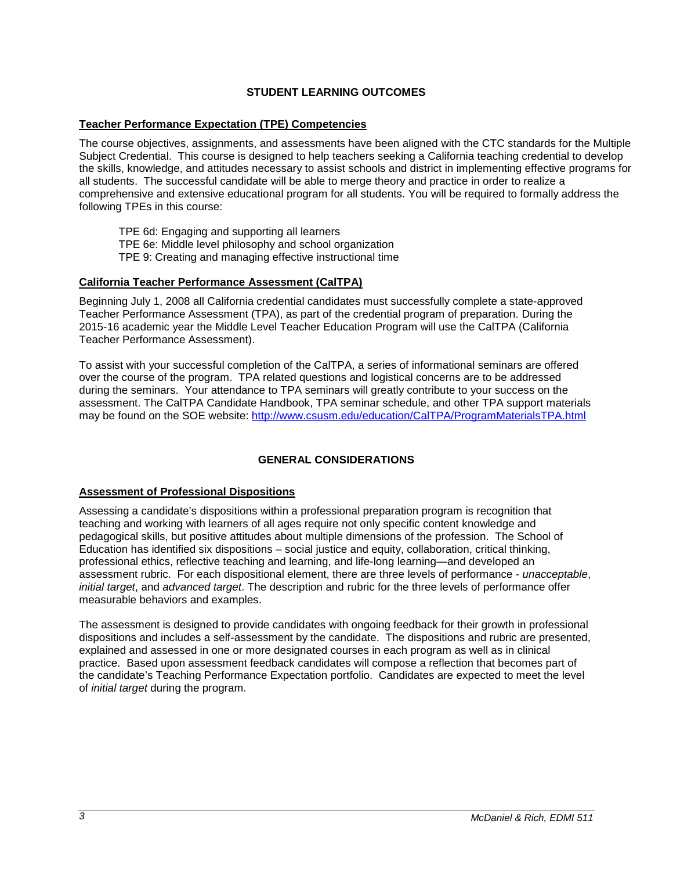# **STUDENT LEARNING OUTCOMES**

# **Teacher Performance Expectation (TPE) Competencies**

The course objectives, assignments, and assessments have been aligned with the CTC standards for the Multiple Subject Credential. This course is designed to help teachers seeking a California teaching credential to develop the skills, knowledge, and attitudes necessary to assist schools and district in implementing effective programs for all students. The successful candidate will be able to merge theory and practice in order to realize a comprehensive and extensive educational program for all students. You will be required to formally address the following TPEs in this course:

TPE 6d: Engaging and supporting all learners

TPE 6e: Middle level philosophy and school organization

TPE 9: Creating and managing effective instructional time

#### **California Teacher Performance Assessment (CalTPA)**

Beginning July 1, 2008 all California credential candidates must successfully complete a state-approved Teacher Performance Assessment (TPA), as part of the credential program of preparation. During the 2015-16 academic year the Middle Level Teacher Education Program will use the CalTPA (California Teacher Performance Assessment).

To assist with your successful completion of the CalTPA, a series of informational seminars are offered over the course of the program. TPA related questions and logistical concerns are to be addressed during the seminars. Your attendance to TPA seminars will greatly contribute to your success on the assessment. The CalTPA Candidate Handbook, TPA seminar schedule, and other TPA support materials may be found on the SOE website:<http://www.csusm.edu/education/CalTPA/ProgramMaterialsTPA.html>

## **GENERAL CONSIDERATIONS**

## **Assessment of Professional Dispositions**

Assessing a candidate's dispositions within a professional preparation program is recognition that teaching and working with learners of all ages require not only specific content knowledge and pedagogical skills, but positive attitudes about multiple dimensions of the profession. The School of Education has identified six dispositions – social justice and equity, collaboration, critical thinking, professional ethics, reflective teaching and learning, and life-long learning—and developed an assessment rubric. For each dispositional element, there are three levels of performance - *unacceptable*, *initial target*, and *advanced target*. The description and rubric for the three levels of performance offer measurable behaviors and examples.

The assessment is designed to provide candidates with ongoing feedback for their growth in professional dispositions and includes a self-assessment by the candidate. The dispositions and rubric are presented, explained and assessed in one or more designated courses in each program as well as in clinical practice. Based upon assessment feedback candidates will compose a reflection that becomes part of the candidate's Teaching Performance Expectation portfolio. Candidates are expected to meet the level of *initial target* during the program.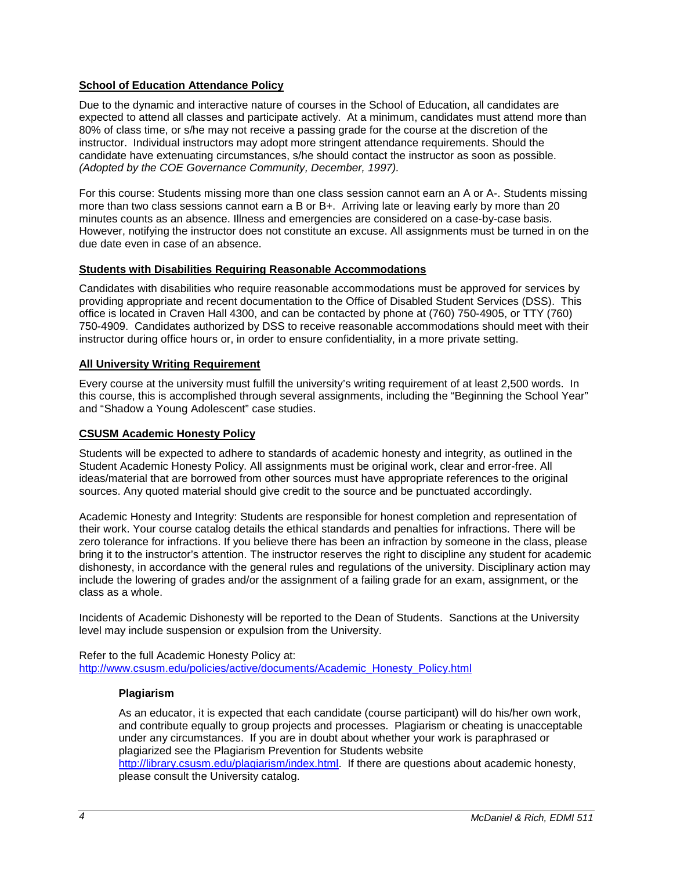# **School of Education Attendance Policy**

Due to the dynamic and interactive nature of courses in the School of Education, all candidates are expected to attend all classes and participate actively. At a minimum, candidates must attend more than 80% of class time, or s/he may not receive a passing grade for the course at the discretion of the instructor. Individual instructors may adopt more stringent attendance requirements. Should the candidate have extenuating circumstances, s/he should contact the instructor as soon as possible. *(Adopted by the COE Governance Community, December, 1997).*

For this course: Students missing more than one class session cannot earn an A or A-. Students missing more than two class sessions cannot earn a B or B+. Arriving late or leaving early by more than 20 minutes counts as an absence. Illness and emergencies are considered on a case-by-case basis. However, notifying the instructor does not constitute an excuse. All assignments must be turned in on the due date even in case of an absence.

## **Students with Disabilities Requiring Reasonable Accommodations**

Candidates with disabilities who require reasonable accommodations must be approved for services by providing appropriate and recent documentation to the Office of Disabled Student Services (DSS). This office is located in Craven Hall 4300, and can be contacted by phone at (760) 750-4905, or TTY (760) 750-4909. Candidates authorized by DSS to receive reasonable accommodations should meet with their instructor during office hours or, in order to ensure confidentiality, in a more private setting.

#### **All University Writing Requirement**

Every course at the university must fulfill the university's writing requirement of at least 2,500 words. In this course, this is accomplished through several assignments, including the "Beginning the School Year" and "Shadow a Young Adolescent" case studies.

#### **CSUSM Academic Honesty Policy**

Students will be expected to adhere to standards of academic honesty and integrity, as outlined in the Student Academic Honesty Policy. All assignments must be original work, clear and error-free. All ideas/material that are borrowed from other sources must have appropriate references to the original sources. Any quoted material should give credit to the source and be punctuated accordingly.

Academic Honesty and Integrity: Students are responsible for honest completion and representation of their work. Your course catalog details the ethical standards and penalties for infractions. There will be zero tolerance for infractions. If you believe there has been an infraction by someone in the class, please bring it to the instructor's attention. The instructor reserves the right to discipline any student for academic dishonesty, in accordance with the general rules and regulations of the university. Disciplinary action may include the lowering of grades and/or the assignment of a failing grade for an exam, assignment, or the class as a whole.

Incidents of Academic Dishonesty will be reported to the Dean of Students. Sanctions at the University level may include suspension or expulsion from the University.

Refer to the full Academic Honesty Policy at: [http://www.csusm.edu/policies/active/documents/Academic\\_Honesty\\_Policy.html](http://www.csusm.edu/policies/active/documents/Academic_Honesty_Policy.html)

#### **Plagiarism**

As an educator, it is expected that each candidate (course participant) will do his/her own work, and contribute equally to group projects and processes. Plagiarism or cheating is unacceptable under any circumstances. If you are in doubt about whether your work is paraphrased or plagiarized see the Plagiarism Prevention for Students website [http://library.csusm.edu/plagiarism/index.html.](http://library.csusm.edu/plagiarism/index.html) If there are questions about academic honesty, please consult the University catalog.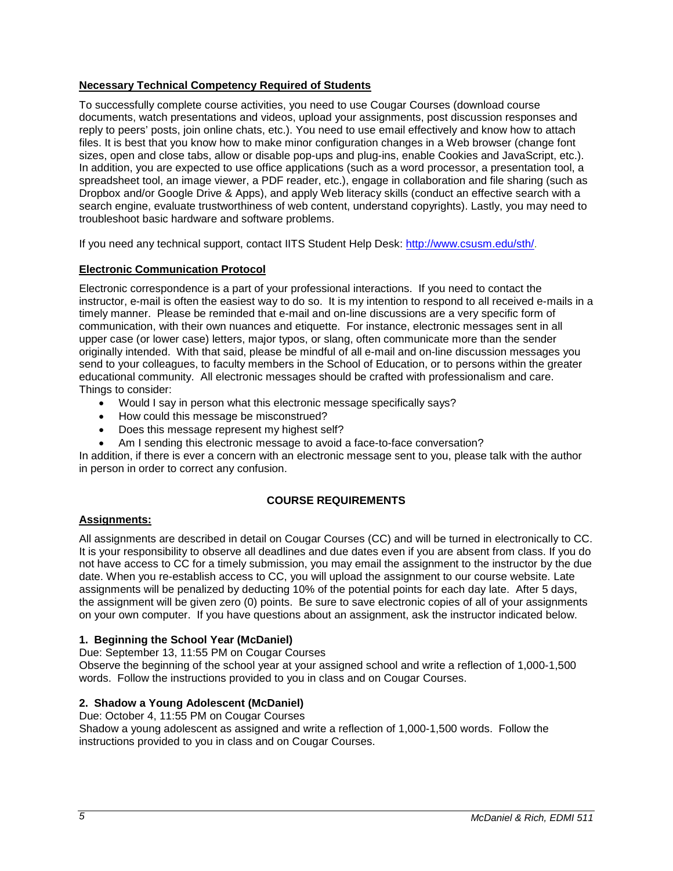# **Necessary Technical Competency Required of Students**

To successfully complete course activities, you need to use Cougar Courses (download course documents, watch presentations and videos, upload your assignments, post discussion responses and reply to peers' posts, join online chats, etc.). You need to use email effectively and know how to attach files. It is best that you know how to make minor configuration changes in a Web browser (change font sizes, open and close tabs, allow or disable pop-ups and plug-ins, enable Cookies and JavaScript, etc.). In addition, you are expected to use office applications (such as a word processor, a presentation tool, a spreadsheet tool, an image viewer, a PDF reader, etc.), engage in collaboration and file sharing (such as Dropbox and/or Google Drive & Apps), and apply Web literacy skills (conduct an effective search with a search engine, evaluate trustworthiness of web content, understand copyrights). Lastly, you may need to troubleshoot basic hardware and software problems.

If you need any technical support, contact IITS Student Help Desk: [http://www.csusm.edu/sth/.](http://www.csusm.edu/sth/)

## **Electronic Communication Protocol**

Electronic correspondence is a part of your professional interactions. If you need to contact the instructor, e-mail is often the easiest way to do so. It is my intention to respond to all received e-mails in a timely manner. Please be reminded that e-mail and on-line discussions are a very specific form of communication, with their own nuances and etiquette. For instance, electronic messages sent in all upper case (or lower case) letters, major typos, or slang, often communicate more than the sender originally intended. With that said, please be mindful of all e-mail and on-line discussion messages you send to your colleagues, to faculty members in the School of Education, or to persons within the greater educational community. All electronic messages should be crafted with professionalism and care. Things to consider:

- Would I say in person what this electronic message specifically says?
- How could this message be misconstrued?
- Does this message represent my highest self?
- Am I sending this electronic message to avoid a face-to-face conversation?

In addition, if there is ever a concern with an electronic message sent to you, please talk with the author in person in order to correct any confusion.

## **COURSE REQUIREMENTS**

## **Assignments:**

All assignments are described in detail on Cougar Courses (CC) and will be turned in electronically to CC. It is your responsibility to observe all deadlines and due dates even if you are absent from class. If you do not have access to CC for a timely submission, you may email the assignment to the instructor by the due date. When you re-establish access to CC, you will upload the assignment to our course website. Late assignments will be penalized by deducting 10% of the potential points for each day late. After 5 days, the assignment will be given zero (0) points. Be sure to save electronic copies of all of your assignments on your own computer. If you have questions about an assignment, ask the instructor indicated below.

## **1. Beginning the School Year (McDaniel)**

Due: September 13, 11:55 PM on Cougar Courses

Observe the beginning of the school year at your assigned school and write a reflection of 1,000-1,500 words. Follow the instructions provided to you in class and on Cougar Courses.

## **2. Shadow a Young Adolescent (McDaniel)**

Due: October 4, 11:55 PM on Cougar Courses Shadow a young adolescent as assigned and write a reflection of 1,000-1,500 words. Follow the instructions provided to you in class and on Cougar Courses.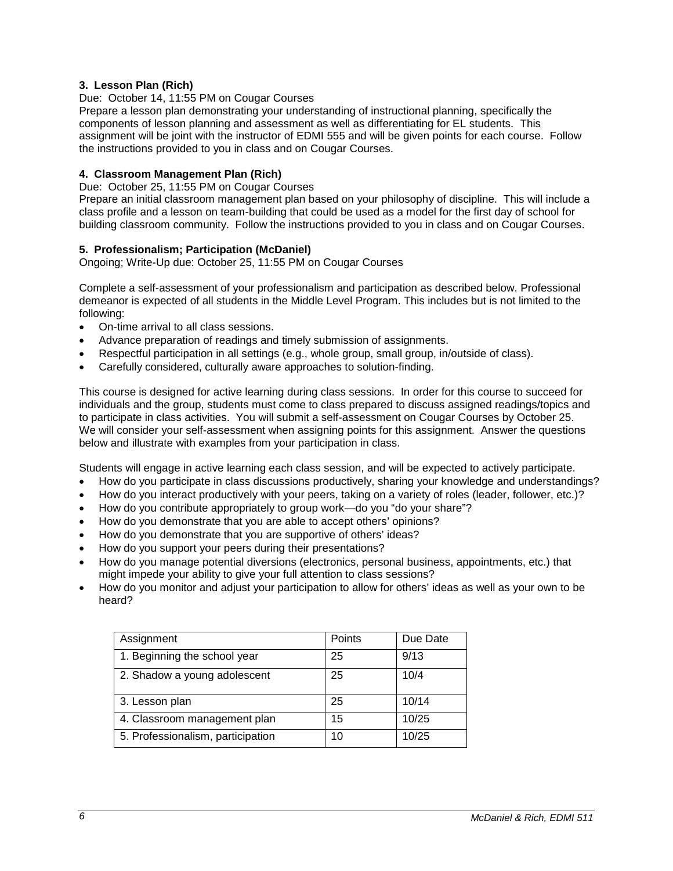## **3. Lesson Plan (Rich)**

## Due: October 14, 11:55 PM on Cougar Courses

Prepare a lesson plan demonstrating your understanding of instructional planning, specifically the components of lesson planning and assessment as well as differentiating for EL students. This assignment will be joint with the instructor of EDMI 555 and will be given points for each course. Follow the instructions provided to you in class and on Cougar Courses.

#### **4. Classroom Management Plan (Rich)**

Due: October 25, 11:55 PM on Cougar Courses

Prepare an initial classroom management plan based on your philosophy of discipline. This will include a class profile and a lesson on team-building that could be used as a model for the first day of school for building classroom community. Follow the instructions provided to you in class and on Cougar Courses.

## **5. Professionalism; Participation (McDaniel)**

Ongoing; Write-Up due: October 25, 11:55 PM on Cougar Courses

Complete a self-assessment of your professionalism and participation as described below. Professional demeanor is expected of all students in the Middle Level Program. This includes but is not limited to the following:

- On-time arrival to all class sessions.
- Advance preparation of readings and timely submission of assignments.
- Respectful participation in all settings (e.g., whole group, small group, in/outside of class).
- Carefully considered, culturally aware approaches to solution-finding.

This course is designed for active learning during class sessions. In order for this course to succeed for individuals and the group, students must come to class prepared to discuss assigned readings/topics and to participate in class activities. You will submit a self-assessment on Cougar Courses by October 25. We will consider your self-assessment when assigning points for this assignment. Answer the questions below and illustrate with examples from your participation in class.

Students will engage in active learning each class session, and will be expected to actively participate.

- How do you participate in class discussions productively, sharing your knowledge and understandings?
- How do you interact productively with your peers, taking on a variety of roles (leader, follower, etc.)?
- How do you contribute appropriately to group work—do you "do your share"?
- How do you demonstrate that you are able to accept others' opinions?
- How do you demonstrate that you are supportive of others' ideas?
- How do you support your peers during their presentations?
- How do you manage potential diversions (electronics, personal business, appointments, etc.) that might impede your ability to give your full attention to class sessions?
- How do you monitor and adjust your participation to allow for others' ideas as well as your own to be heard?

| Assignment                        | Points | Due Date |
|-----------------------------------|--------|----------|
| 1. Beginning the school year      | 25     | 9/13     |
| 2. Shadow a young adolescent      | 25     | 10/4     |
| 3. Lesson plan                    | 25     | 10/14    |
| 4. Classroom management plan      | 15     | 10/25    |
| 5. Professionalism, participation | 10     | 10/25    |